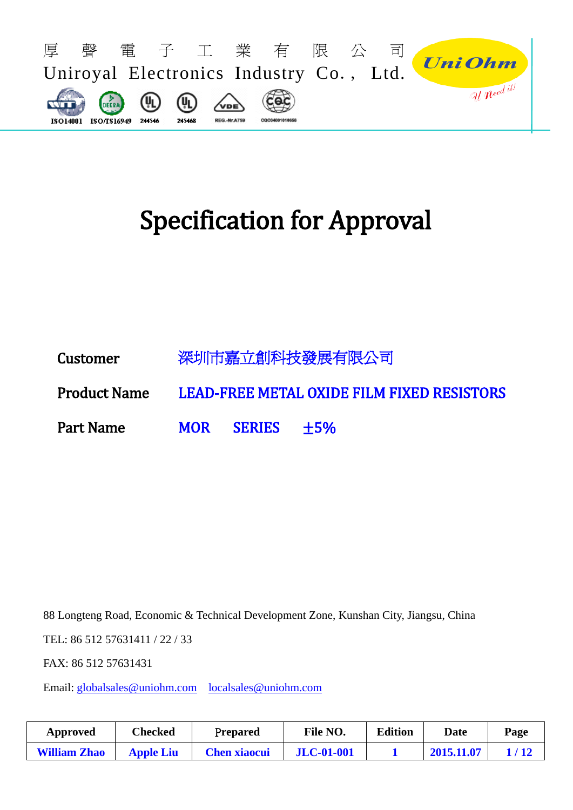

# Specification for Approval

Customer 深圳市嘉立創科技發展有限公司 Product Name LEAD-FREE METAL OXIDE FILM FIXED RESISTORS Part Name MOR SERIES  $\pm 5\%$ 

88 Longteng Road, Economic & Technical Development Zone, Kunshan City, Jiangsu, China

TEL: 86 512 57631411 / 22 / 33

FAX: 86 512 57631431

Email: [globalsales@uniohm.com](mailto:globalsales@uniohm.com) [localsales@uniohm.com](mailto:localsales@uniohm.com)

| Approved            | Checked          | Prepared            | File NO.          | <b>Edition</b> | Date       | Page |
|---------------------|------------------|---------------------|-------------------|----------------|------------|------|
| <b>William Zhao</b> | <b>Apple Liu</b> | <b>Chen xiaocui</b> | <b>JLC-01-001</b> |                | 2015.11.07 |      |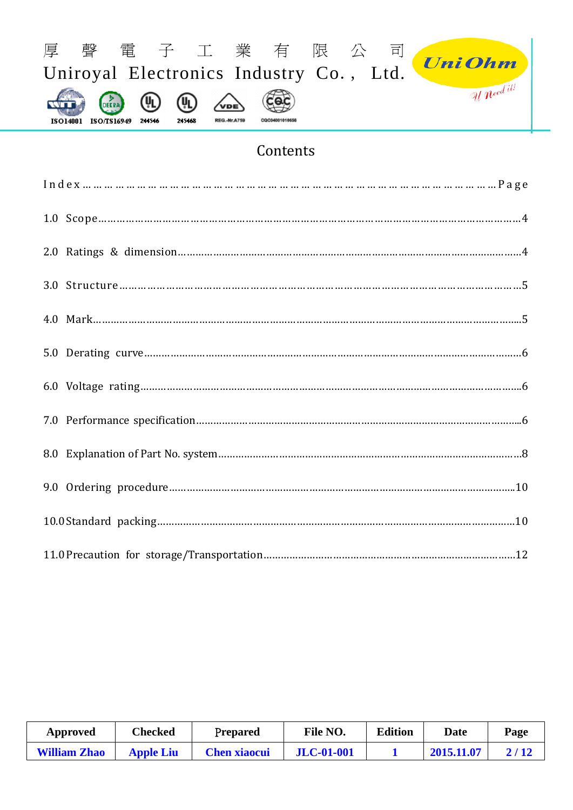

# Contents

| Approved            | Checked          | <b>Prepared</b>     | File NO.          | <b>Edition</b> | <b>Date</b>   | Page |
|---------------------|------------------|---------------------|-------------------|----------------|---------------|------|
| <b>William Zhao</b> | <b>Apple Liu</b> | <b>Chen xiaocui</b> | <b>JLC-01-001</b> |                | $-2015.11.07$ | 2/12 |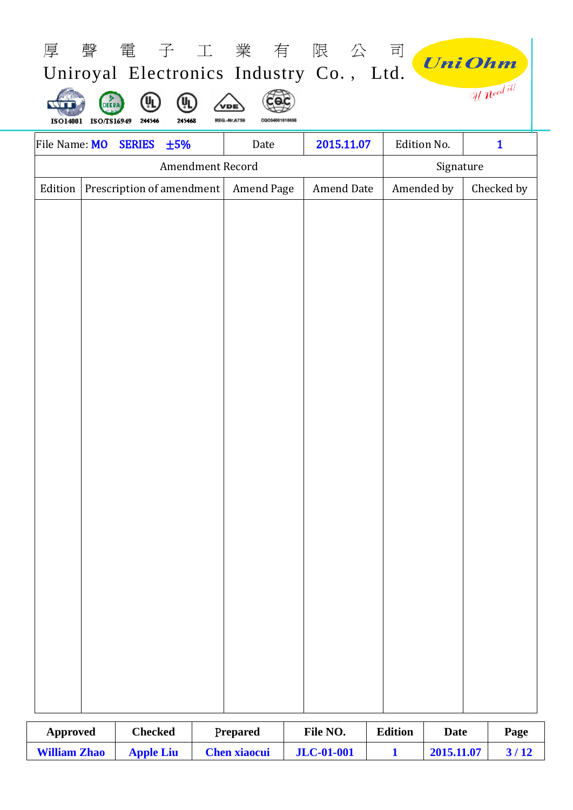|         |                                                                                                                                                                        |  |                         |            | 厚聲電子工業有限公司        |            | <b>UniOhm</b> |  |  |  |  |
|---------|------------------------------------------------------------------------------------------------------------------------------------------------------------------------|--|-------------------------|------------|-------------------|------------|---------------|--|--|--|--|
|         | Uniroyal Electronics Industry Co., Ltd.<br>Uneed it!<br>ΨL<br>(ŲL<br>DEERA<br>VDE<br>ISO14001 ISO/TS16949<br>245468<br>211516<br><b>REG.-Nr.A759</b><br>CQC04001010656 |  |                         |            |                   |            |               |  |  |  |  |
|         | 2015.11.07<br>Edition No.<br>File Name: MO<br><b>SERIES</b><br>$\mathbf{1}$<br>±5%<br>Date                                                                             |  |                         |            |                   |            |               |  |  |  |  |
|         |                                                                                                                                                                        |  | <b>Amendment Record</b> |            |                   | Signature  |               |  |  |  |  |
| Edition | Prescription of amendment                                                                                                                                              |  |                         | Amend Page | <b>Amend Date</b> | Amended by | Checked by    |  |  |  |  |
|         |                                                                                                                                                                        |  |                         |            |                   |            |               |  |  |  |  |
|         |                                                                                                                                                                        |  |                         |            |                   |            |               |  |  |  |  |
|         |                                                                                                                                                                        |  |                         |            |                   |            |               |  |  |  |  |
|         |                                                                                                                                                                        |  |                         |            |                   |            |               |  |  |  |  |
|         |                                                                                                                                                                        |  |                         |            |                   |            |               |  |  |  |  |
|         |                                                                                                                                                                        |  |                         |            |                   |            |               |  |  |  |  |
|         |                                                                                                                                                                        |  |                         |            |                   |            |               |  |  |  |  |
|         |                                                                                                                                                                        |  |                         |            |                   |            |               |  |  |  |  |
|         |                                                                                                                                                                        |  |                         |            |                   |            |               |  |  |  |  |
|         |                                                                                                                                                                        |  |                         |            |                   |            |               |  |  |  |  |
|         |                                                                                                                                                                        |  |                         |            |                   |            |               |  |  |  |  |
|         |                                                                                                                                                                        |  |                         |            |                   |            |               |  |  |  |  |
|         |                                                                                                                                                                        |  |                         |            |                   |            |               |  |  |  |  |
|         |                                                                                                                                                                        |  |                         |            |                   |            |               |  |  |  |  |
|         |                                                                                                                                                                        |  |                         |            |                   |            |               |  |  |  |  |
|         |                                                                                                                                                                        |  |                         |            |                   |            |               |  |  |  |  |
|         |                                                                                                                                                                        |  |                         |            |                   |            |               |  |  |  |  |
|         |                                                                                                                                                                        |  |                         |            |                   |            |               |  |  |  |  |
|         |                                                                                                                                                                        |  |                         |            |                   |            |               |  |  |  |  |
|         |                                                                                                                                                                        |  |                         |            |                   |            |               |  |  |  |  |
|         |                                                                                                                                                                        |  |                         |            |                   |            |               |  |  |  |  |
|         |                                                                                                                                                                        |  |                         |            |                   |            |               |  |  |  |  |

| Approved            | Checked          | <b>Prepared</b>     | File NO.          | <b>Edition</b> | Date       | Page |
|---------------------|------------------|---------------------|-------------------|----------------|------------|------|
| <b>William Zhao</b> | <b>Apple Liu</b> | <b>Chen xiaocui</b> | <b>JLC-01-001</b> |                | 2015.11.07 |      |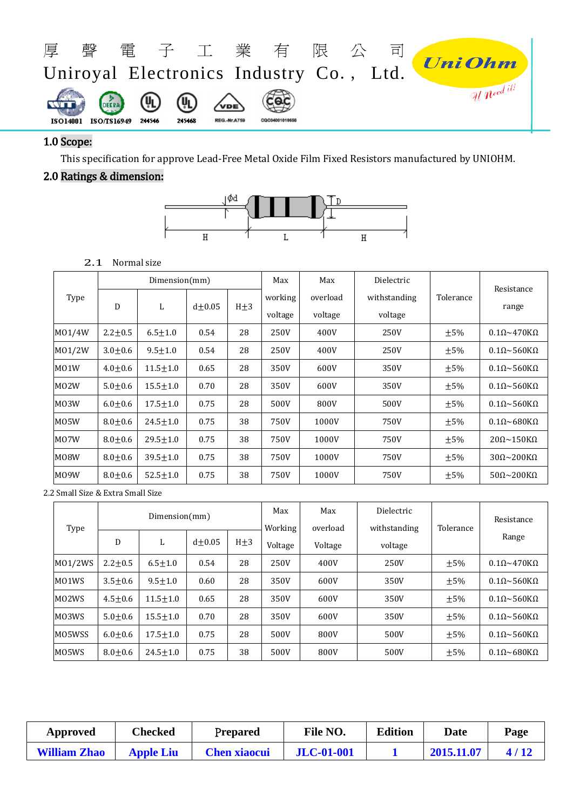

#### 1.0 Scope:

This specification for approve Lead-Free Metal Oxide Film Fixed Resistors manufactured by UNIOHM.

# 2.0 Ratings & dimension:



#### 2.1 Normal size

|                   |               | Dimension(mm)  |          |          | Max                | Max                 | Dielectric              |           |                                     |
|-------------------|---------------|----------------|----------|----------|--------------------|---------------------|-------------------------|-----------|-------------------------------------|
| Type              | D             | L              | $d+0.05$ | $H\pm 3$ | working<br>voltage | overload<br>voltage | withstanding<br>voltage | Tolerance | Resistance<br>range                 |
| M01/4W            | $2.2 + 0.5$   | $6.5 \pm 1.0$  | 0.54     | 28       | 250V               | 400V                | 250V                    | $\pm 5\%$ | $0.1\Omega \sim 470K\Omega$         |
| M01/2W            | $3.0 + 0.6$   | $9.5 + 1.0$    | 0.54     | 28       | 250V               | 400V                | 250V                    | $\pm 5\%$ | $0.1\Omega \sim 560$ K $\Omega$     |
| M01W              | $4.0 \pm 0.6$ | $11.5 \pm 1.0$ | 0.65     | 28       | 350V               | 600V                | 350V                    | $\pm 5\%$ | $0.1\Omega \sim 560$ K $\Omega$     |
| M <sub>02</sub> W | $5.0 + 0.6$   | $15.5 \pm 1.0$ | 0.70     | 28       | 350V               | 600V                | 350V                    | $\pm 5\%$ | $0.1\Omega \sim 560$ K $\Omega$     |
| M03W              | $6.0 + 0.6$   | $17.5 \pm 1.0$ | 0.75     | 28       | 500V               | 800V                | 500V                    | $\pm 5\%$ | $0.1\Omega \sim 560$ K $\Omega$     |
| M05W              | $8.0 + 0.6$   | $24.5 \pm 1.0$ | 0.75     | 38       | 750V               | 1000V               | 750V                    | $\pm 5\%$ | $0.1\Omega \sim 680 \text{K}\Omega$ |
| M07W              | $8.0 + 0.6$   | $29.5 \pm 1.0$ | 0.75     | 38       | 750V               | 1000V               | 750V                    | $\pm 5\%$ | $20\Omega \sim 150$ K $\Omega$      |
| M08W              | $8.0 + 0.6$   | $39.5 \pm 1.0$ | 0.75     | 38       | 750V               | 1000V               | 750V                    | $\pm 5\%$ | $30\Omega \sim 200K\Omega$          |
| M09W              | $8.0 + 0.6$   | $52.5 \pm 1.0$ | 0.75     | 38       | 750V               | 1000V               | 750V                    | ±5%       | $50\Omega \sim 200K\Omega$          |

2.2 Small Size & Extra Small Size

| Type                           | Dimension(mm) |                |          |          | Max<br>Working | Max<br>overload | Dielectric<br>withstanding | Tolerance | Resistance                          |
|--------------------------------|---------------|----------------|----------|----------|----------------|-----------------|----------------------------|-----------|-------------------------------------|
|                                | D             | L              | $d+0.05$ | $H\pm 3$ | Voltage        | Voltage         | voltage                    |           | Range                               |
| M01/2WS                        | $2.2 + 0.5$   | $6.5 + 1.0$    | 0.54     | 28       | 250V           | 400V            | 250V                       | $\pm 5\%$ | $0.1 \Omega \sim 470 K\Omega$       |
| M01WS                          | $3.5 + 0.6$   | $9.5 + 1.0$    | 0.60     | 28       | 350V           | 600V            | 350V                       | $\pm 5\%$ | $0.1\Omega \sim 560$ K $\Omega$     |
| MO <sub>2</sub> W <sub>S</sub> | $4.5 + 0.6$   | $11.5 + 1.0$   | 0.65     | 28       | 350V           | 600V            | 350V                       | $+5%$     | $0.1\Omega \sim 560$ K $\Omega$     |
| M03WS                          | $5.0 + 0.6$   | $15.5 + 1.0$   | 0.70     | 28       | 350V           | 600V            | 350V                       | $\pm 5\%$ | $0.1\Omega \sim 560$ K $\Omega$     |
| MO5WSS                         | $6.0 + 0.6$   | $17.5 + 1.0$   | 0.75     | 28       | 500V           | 800V            | 500V                       | $\pm 5\%$ | $0.1\Omega \sim 560$ K $\Omega$     |
| M05WS                          | $8.0 + 0.6$   | $24.5 \pm 1.0$ | 0.75     | 38       | 500V           | 800V            | 500V                       | $\pm 5\%$ | $0.1\Omega \sim 680 \text{K}\Omega$ |

| Approved            | Checked          | Prepared            | File NO.          | <b>Edition</b> | Date       | Page |
|---------------------|------------------|---------------------|-------------------|----------------|------------|------|
| <b>William Zhao</b> | <b>Apple Liu</b> | <b>Chen xiaocui</b> | <b>JLC-01-001</b> |                | 2015.11.07 | 4/12 |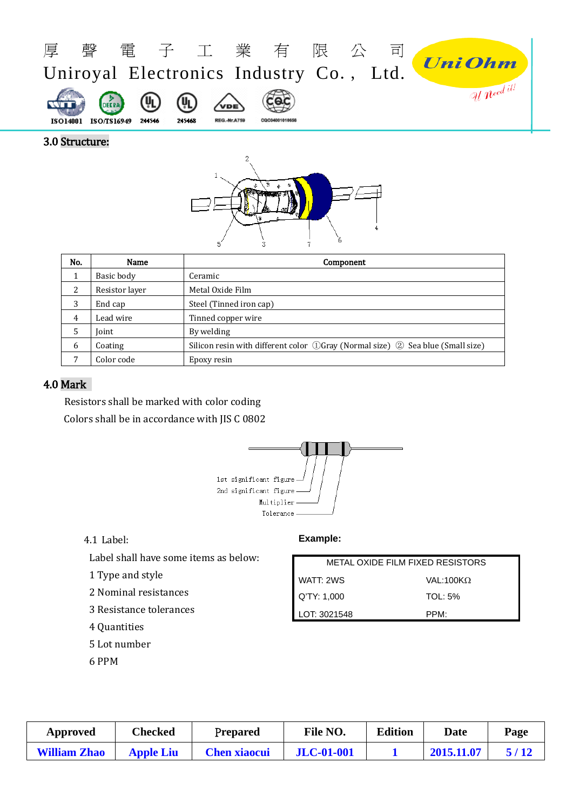

#### 3.0 Structure:



| No. | Name           | Component                                                                      |
|-----|----------------|--------------------------------------------------------------------------------|
|     | Basic body     | Ceramic                                                                        |
| 2   | Resistor layer | Metal Oxide Film                                                               |
| 3   | End cap        | Steel (Tinned iron cap)                                                        |
| 4   | Lead wire      | Tinned copper wire                                                             |
| 5   | Joint          | By welding                                                                     |
| 6   | Coating        | Silicon resin with different color ①Gray (Normal size) ② Sea blue (Small size) |
|     | Color code     | Epoxy resin                                                                    |

# 4.0 Mark

Resistors shall be marked with color coding Colors shall be in accordance with JIS C 0802



#### 4.1 Label:

Label shall have some items as below:

1 Type and style

2 Nominal resistances

- 3 Resistance tolerances
- 4 Quantities
- 5 Lot number
- 6 PPM

### **Example:**

| METAL OXIDE FILM FIXED RESISTORS |                            |  |  |  |  |
|----------------------------------|----------------------------|--|--|--|--|
| WATT: 2WS                        | VAL:100 $\mathsf{K}\Omega$ |  |  |  |  |
| Q'TY: 1,000                      | TOL: 5%                    |  |  |  |  |
| LOT: 3021548                     | PPM <sup>.</sup>           |  |  |  |  |

| Approved            | Checked          | Prepared            | File NO.          | <b>Edition</b> | Date       | Page |
|---------------------|------------------|---------------------|-------------------|----------------|------------|------|
| <b>William Zhao</b> | <b>Apple Liu</b> | <b>Chen xiaocui</b> | <b>JLC-01-001</b> |                | 2015.11.07 | 5/12 |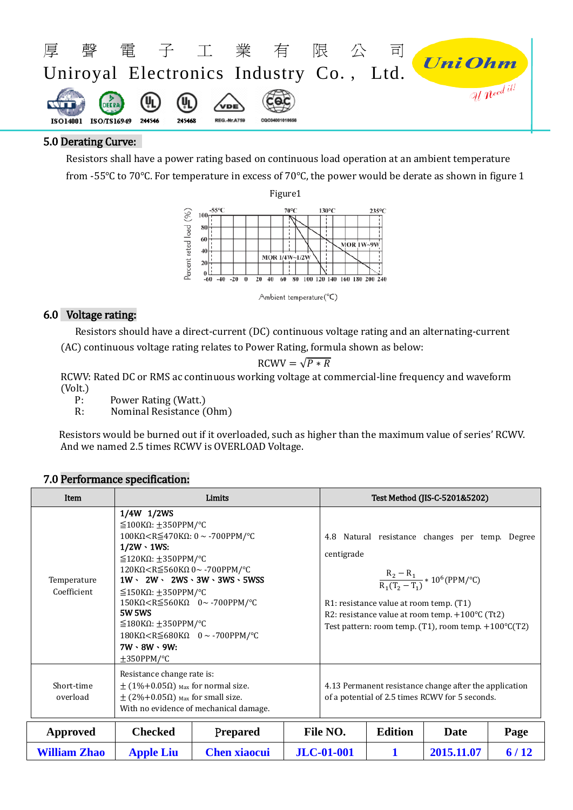

#### 5.0 Derating Curve:

Resistors shall have a power rating based on continuous load operation at an ambient temperature from -55℃ to 70℃. For temperature in excess of 70℃, the power would be derate as shown in figure 1



Ambient temperature(°C)

# 6.0 Voltage rating:

 Resistors should have a direct-current (DC) continuous voltage rating and an alternating-current (AC) continuous voltage rating relates to Power Rating, formula shown as below:

$$
RCWV = \sqrt{P * R}
$$

RCWV: Rated DC or RMS ac continuous working voltage at commercial-line frequency and waveform (Volt.)

P: Power Rating (Watt.)<br>R: Nominal Resistance (

R: Nominal Resistance (Ohm)

Resistors would be burned out if it overloaded, such as higher than the maximum value of series' RCWV. And we named 2.5 times RCWV is OVERLOAD Voltage.

# 7.0 Performance specification:

| Item                       |                                                                                                                                                                                                                                                                                                                                                                                                                                                                                                                                                                                                                           | Limits                                                |          |                                                                                                           |                                         | Test Method (JIS-C-5201&5202)                                                                                                                                                                                               |      |
|----------------------------|---------------------------------------------------------------------------------------------------------------------------------------------------------------------------------------------------------------------------------------------------------------------------------------------------------------------------------------------------------------------------------------------------------------------------------------------------------------------------------------------------------------------------------------------------------------------------------------------------------------------------|-------------------------------------------------------|----------|-----------------------------------------------------------------------------------------------------------|-----------------------------------------|-----------------------------------------------------------------------------------------------------------------------------------------------------------------------------------------------------------------------------|------|
| Temperature<br>Coefficient | 1/4W 1/2WS<br>$\leq$ 100K $\Omega$ : ±350PPM/°C<br>100KΩ <r<math>\leq470KΩ: 0 ~ -700PPM/°C<br/><math>1/2W \cdot 1WS</math>:<br/><math>\leq</math>120K<math>\Omega</math>: <math>\pm</math>350PPM/°C<br/>120KΩ<r<math>\leq560KΩ 0~ -700PPM/°C<br/><math>\leq</math>150K<math>\Omega</math>: <math>\pm</math>350PPM/°C<br/>150K<math>\Omega</math><r<math>\leq560K<math>\Omega</math> 0~-700PPM/°C<br/><b>5W 5WS</b><br/><math>≤180</math>KΩ: ±350PPM/°C<br/><math>180K\Omega &lt; R \leq 680K\Omega</math> 0 ~ -700PPM/°C<br/><math>7W \cdot 8W \cdot 9W</math>:<br/><math>\pm 350</math>PPM/°C</r<math></r<math></r<math> | $1W \cdot 2W \cdot 2WS \cdot 3W \cdot 3WS \cdot 5WSS$ |          | centigrade                                                                                                | R1: resistance value at room temp. (T1) | 4.8 Natural resistance changes per temp. Degree<br>$\frac{R_2 - R_1}{R_1(T_2 - T_1)} * 10^6(PPM/°C)$<br>R2: resistance value at room temp. +100°C (Tt2)<br>Test pattern: room temp. $(T1)$ , room temp. $+100^{\circ}C(T2)$ |      |
| Short-time<br>overload     | Resistance change rate is:<br>$\pm$ (1%+0.05 $\Omega$ ) <sub>Max</sub> for normal size.<br>$\pm$ (2%+0.05 $\Omega$ ) <sub>Max</sub> for small size.<br>With no evidence of mechanical damage.                                                                                                                                                                                                                                                                                                                                                                                                                             |                                                       |          | 4.13 Permanent resistance change after the application<br>of a potential of 2.5 times RCWV for 5 seconds. |                                         |                                                                                                                                                                                                                             |      |
| Approved                   | <b>Checked</b>                                                                                                                                                                                                                                                                                                                                                                                                                                                                                                                                                                                                            | Prepared                                              | File NO. | <b>Edition</b>                                                                                            | Date                                    | Page                                                                                                                                                                                                                        |      |
| <b>William Zhao</b>        | <b>Apple Liu</b>                                                                                                                                                                                                                                                                                                                                                                                                                                                                                                                                                                                                          | <b>Chen xiaocui</b>                                   |          | <b>JLC-01-001</b>                                                                                         |                                         | 2015.11.07                                                                                                                                                                                                                  | 6/12 |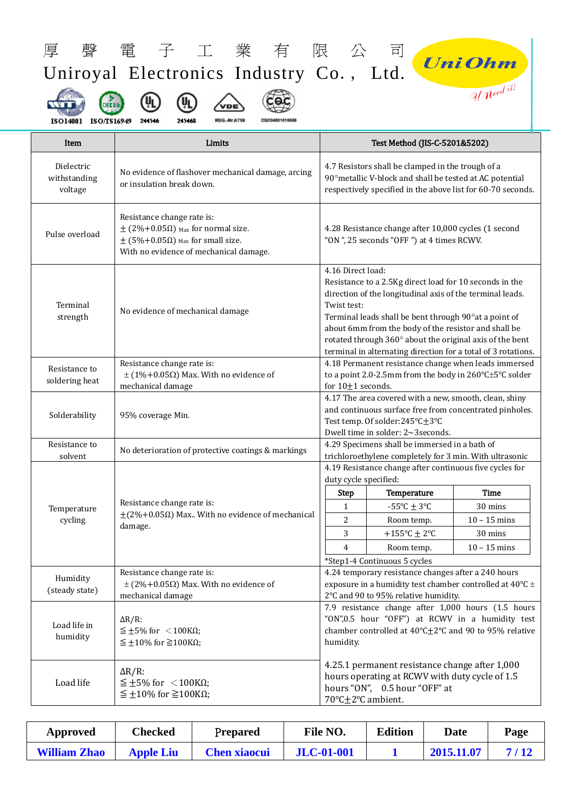| 厚                                     | 電子工業有限                                                                                                                                                                  | 公                                                                                                                                                                                                                                                                                                                                                                                                       | 司                                                                                                                                                                   | <b><i>Uni Ohm</i></b>                                                                                                                                                          |
|---------------------------------------|-------------------------------------------------------------------------------------------------------------------------------------------------------------------------|---------------------------------------------------------------------------------------------------------------------------------------------------------------------------------------------------------------------------------------------------------------------------------------------------------------------------------------------------------------------------------------------------------|---------------------------------------------------------------------------------------------------------------------------------------------------------------------|--------------------------------------------------------------------------------------------------------------------------------------------------------------------------------|
|                                       | Uniroyal Electronics Industry Co., Ltd.                                                                                                                                 |                                                                                                                                                                                                                                                                                                                                                                                                         |                                                                                                                                                                     |                                                                                                                                                                                |
| ISO14001 ISO/TS16949                  | 211516<br>215468<br><b>REG.-Nr.A759</b><br>CQC04001010656                                                                                                               |                                                                                                                                                                                                                                                                                                                                                                                                         |                                                                                                                                                                     | Uneed it!                                                                                                                                                                      |
| Item                                  | Limits                                                                                                                                                                  |                                                                                                                                                                                                                                                                                                                                                                                                         | Test Method (JIS-C-5201&5202)                                                                                                                                       |                                                                                                                                                                                |
| Dielectric<br>withstanding<br>voltage | No evidence of flashover mechanical damage, arcing<br>or insulation break down.                                                                                         |                                                                                                                                                                                                                                                                                                                                                                                                         | 4.7 Resistors shall be clamped in the trough of a<br>90° metallic V-block and shall be tested at AC potential                                                       | respectively specified in the above list for 60-70 seconds.                                                                                                                    |
| Pulse overload                        | Resistance change rate is:<br>$\pm$ (2%+0.05 $\Omega$ ) Max for normal size.<br>$\pm$ (5%+0.05 $\Omega$ ) Max for small size.<br>With no evidence of mechanical damage. |                                                                                                                                                                                                                                                                                                                                                                                                         | 4.28 Resistance change after 10,000 cycles (1 second<br>"ON", 25 seconds "OFF") at 4 times RCWV.                                                                    |                                                                                                                                                                                |
| Terminal<br>strength                  | No evidence of mechanical damage                                                                                                                                        | 4.16 Direct load:<br>Resistance to a 2.5Kg direct load for 10 seconds in the<br>direction of the longitudinal axis of the terminal leads.<br>Twist test:<br>Terminal leads shall be bent through 90° at a point of<br>about 6mm from the body of the resistor and shall be<br>rotated through 360° about the original axis of the bent<br>terminal in alternating direction for a total of 3 rotations. |                                                                                                                                                                     |                                                                                                                                                                                |
| Resistance to<br>soldering heat       | Resistance change rate is:<br>$\pm$ (1%+0.05 $\Omega$ ) Max. With no evidence of<br>mechanical damage                                                                   | 4.18 Permanent resistance change when leads immersed<br>to a point 2.0-2.5mm from the body in 260°C±5°C solder<br>for $10\pm1$ seconds.                                                                                                                                                                                                                                                                 |                                                                                                                                                                     |                                                                                                                                                                                |
| Solderability                         | 95% coverage Min.                                                                                                                                                       | 4.17 The area covered with a new, smooth, clean, shiny<br>and continuous surface free from concentrated pinholes.<br>Test temp. Of solder:245°C±3°C<br>Dwell time in solder: 2~3 seconds.                                                                                                                                                                                                               |                                                                                                                                                                     |                                                                                                                                                                                |
| Resistance to<br>solvent              | No deterioration of protective coatings & markings                                                                                                                      | duty cycle specified:                                                                                                                                                                                                                                                                                                                                                                                   | 4.29 Specimens shall be immersed in a bath of<br>trichloroethylene completely for 3 min. With ultrasonic<br>4.19 Resistance change after continuous five cycles for |                                                                                                                                                                                |
|                                       |                                                                                                                                                                         | <b>Step</b>                                                                                                                                                                                                                                                                                                                                                                                             | Temperature                                                                                                                                                         | <b>Time</b>                                                                                                                                                                    |
| Temperature                           | Resistance change rate is:<br>$\pm$ (2%+0.05 $\Omega$ ) Max With no evidence of mechanical                                                                              | $\mathbf{1}$                                                                                                                                                                                                                                                                                                                                                                                            | -55°C $\pm$ 3°C                                                                                                                                                     | 30 mins                                                                                                                                                                        |
| cycling                               | damage.                                                                                                                                                                 | 2                                                                                                                                                                                                                                                                                                                                                                                                       | Room temp.                                                                                                                                                          | $10 - 15$ mins                                                                                                                                                                 |
|                                       |                                                                                                                                                                         | 3                                                                                                                                                                                                                                                                                                                                                                                                       | +155°C $\pm$ 2°C                                                                                                                                                    | 30 mins                                                                                                                                                                        |
|                                       |                                                                                                                                                                         | 4                                                                                                                                                                                                                                                                                                                                                                                                       | Room temp.                                                                                                                                                          | $10 - 15$ mins                                                                                                                                                                 |
|                                       |                                                                                                                                                                         |                                                                                                                                                                                                                                                                                                                                                                                                         | *Step1-4 Continuous 5 cycles                                                                                                                                        |                                                                                                                                                                                |
| Humidity                              | Resistance change rate is:                                                                                                                                              |                                                                                                                                                                                                                                                                                                                                                                                                         | 4.24 temporary resistance changes after a 240 hours                                                                                                                 |                                                                                                                                                                                |
| (steady state)                        | $\pm$ (2%+0.05 $\Omega$ ) Max. With no evidence of<br>mechanical damage                                                                                                 |                                                                                                                                                                                                                                                                                                                                                                                                         | 2°C and 90 to 95% relative humidity.                                                                                                                                | exposure in a humidity test chamber controlled at 40 $^{\circ}$ C ±                                                                                                            |
| Load life in<br>humidity              | $\Delta R/R$ :<br>$\leq \pm 5\%$ for $\lt$ 100K $\Omega$ ;<br>$\leq \pm 10\%$ for $\geq 100K\Omega$ ;                                                                   | humidity.                                                                                                                                                                                                                                                                                                                                                                                               |                                                                                                                                                                     | 7.9 resistance change after 1,000 hours (1.5 hours<br>"ON",0.5 hour "OFF") at RCWV in a humidity test<br>chamber controlled at $40^{\circ}$ C $\pm$ 2°C and 90 to 95% relative |
| Load life                             | $\Delta R/R$ :<br>$\leq \pm 5\%$ for $\lt$ 100K $\Omega$ ;<br>$\leq \pm 10\%$ for $\geq 100K\Omega$ ;                                                                   | 70°C±2°C ambient.                                                                                                                                                                                                                                                                                                                                                                                       | 4.25.1 permanent resistance change after 1,000<br>hours operating at RCWV with duty cycle of 1.5<br>hours "ON", 0.5 hour "OFF" at                                   |                                                                                                                                                                                |

| Approved            | Checked          | Prepared            | File NO.          | <b>Edition</b> | Date       | Page |
|---------------------|------------------|---------------------|-------------------|----------------|------------|------|
| <b>William Zhao</b> | <b>Apple Liu</b> | <b>Chen xiaocui</b> | <b>JLC-01-001</b> |                | 2015.11.07 | 7/12 |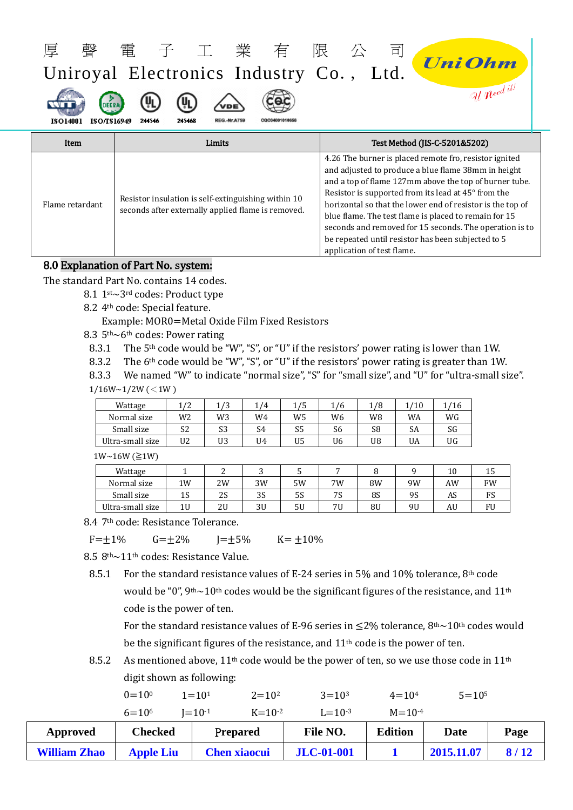| 韾<br>厚<br><b>DEERA</b><br>ISO/TS16949<br><b>ISO14001</b> | 電子工業有<br>Uniroyal Electronics Industry Co., Ltd.<br>244546<br>245468<br><b>REG.-Nr.A759</b><br>CQC04001010656 | 限<br>희<br><b><i>UniOhm</i></b><br>U $n$ eed it                                                                                                                                                                                                                                                                                                                                                                                                                                                       |  |  |  |
|----------------------------------------------------------|---------------------------------------------------------------------------------------------------------------|------------------------------------------------------------------------------------------------------------------------------------------------------------------------------------------------------------------------------------------------------------------------------------------------------------------------------------------------------------------------------------------------------------------------------------------------------------------------------------------------------|--|--|--|
| Item                                                     | Limits                                                                                                        | Test Method (JIS-C-5201&5202)                                                                                                                                                                                                                                                                                                                                                                                                                                                                        |  |  |  |
| Flame retardant                                          | Resistor insulation is self-extinguishing within 10<br>seconds after externally applied flame is removed.     | 4.26 The burner is placed remote fro, resistor ignited<br>and adjusted to produce a blue flame 38mm in height<br>and a top of flame 127mm above the top of burner tube.<br>Resistor is supported from its lead at 45° from the<br>horizontal so that the lower end of resistor is the top of<br>blue flame. The test flame is placed to remain for 15<br>seconds and removed for 15 seconds. The operation is to<br>be repeated until resistor has been subjected to 5<br>application of test flame. |  |  |  |

### 8.0 Explanation of Part No. system:

The standard Part No. contains 14 codes.

- 8.1 1st~3rd codes: Product type
- 8.2 4th code: Special feature.

Example: MOR0=Metal Oxide Film Fixed Resistors

- 8.3 5th~6th codes: Power rating
- 8.3.1 The 5<sup>th</sup> code would be "W", "S", or "U" if the resistors' power rating is lower than 1W.<br>8.3.2 The 6<sup>th</sup> code would be "W", "S", or "U" if the resistors' power rating is greater than 1W.
- The 6<sup>th</sup> code would be "W", "S", or "U" if the resistors' power rating is greater than 1W.

8.3.3 We named "W" to indicate "normal size", "S" for "small size", and "U" for "ultra-small size".  $1/16W~1/2W$  (<1W)

| Wattage          | 1/2 | 1/3 | 1/4 | 1/5 | 1/6            | 1/8 | 1/10 | 1/16 |
|------------------|-----|-----|-----|-----|----------------|-----|------|------|
| Normal size      | W2  | W3  | W4  | W5  | W <sub>6</sub> | W8  | WA   | WG   |
| Small size       | S2  | S3  | S4  | S5  | S6             | S8  | SA   | SG   |
| Ultra-small size | U2  | U3  | U4  | U5  | U6             | U8  | UA   | UG   |

1W~16W (≧1W)

| Wattage          |    |    |    |    |    |    |    | 10 | ב 1 |
|------------------|----|----|----|----|----|----|----|----|-----|
| Normal size      | 1W | 2W | 3W | 5W | 7W | 8W | 9W | AW | FW  |
| Small size       | 1S | 2S | 3S | 5S | 7S | 8S | 95 | AS | гэ  |
| Ultra-small size | 1U | 2U | 3U | 5U | 7U | 8U | 9U | AU | FU  |

8.4 7th code: Resistance Tolerance.

 $F=\pm 1\%$   $G=\pm 2\%$   $J=\pm 5\%$   $K=\pm 10\%$ 

8.5 8th~11th codes: Resistance Value.

8.5.1 For the standard resistance values of E-24 series in 5% and 10% tolerance, 8<sup>th</sup> code would be "0",  $9th~10th$  codes would be the significant figures of the resistance, and  $11th$ code is the power of ten.

For the standard resistance values of E-96 series in  $\leq$ 2% tolerance, 8<sup>th</sup> $\sim$ 10<sup>th</sup> codes would be the significant figures of the resistance, and 11<sup>th</sup> code is the power of ten.

8.5.2 As mentioned above,  $11<sup>th</sup>$  code would be the power of ten, so we use those code in  $11<sup>th</sup>$ digit shown as following:

|                     | $0 = 10^{0}$<br>$6 = 10^{6}$ | $2 = 10^2$<br>$1 = 101$<br>$I = 10^{-1}$<br>$K = 10^{-2}$ | $3 = 103$<br>$L = 10^{-3}$ | $4 = 104$<br>$M = 10^{-4}$ | $5 = 10^5$ |      |
|---------------------|------------------------------|-----------------------------------------------------------|----------------------------|----------------------------|------------|------|
|                     |                              |                                                           |                            |                            |            |      |
| Approved            | <b>Checked</b>               | Prepared                                                  | File NO.                   | <b>Edition</b>             | Date       | Page |
| <b>William Zhao</b> | <b>Apple Liu</b>             | <b>Chen xiaocui</b>                                       | <b>JLC-01-001</b>          |                            | 2015.11.07 | 8/12 |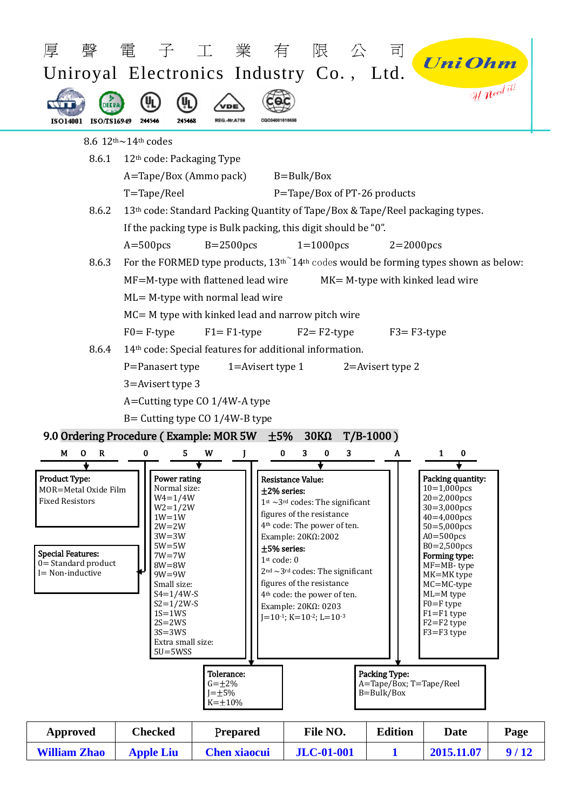| 韾                                                                                                                                                   |                                                                                                                                                                                                                                                                                  | 電子工業有限<br>Uniroyal Electronics Industry Co., Ltd.                                     | 公                                                                                                                                                                                                                                                                                                                                                                                          | 司                                     | <b><i>UniOhm</i></b>                                                                                                                                                                                                                                                                        |                                  |
|-----------------------------------------------------------------------------------------------------------------------------------------------------|----------------------------------------------------------------------------------------------------------------------------------------------------------------------------------------------------------------------------------------------------------------------------------|---------------------------------------------------------------------------------------|--------------------------------------------------------------------------------------------------------------------------------------------------------------------------------------------------------------------------------------------------------------------------------------------------------------------------------------------------------------------------------------------|---------------------------------------|---------------------------------------------------------------------------------------------------------------------------------------------------------------------------------------------------------------------------------------------------------------------------------------------|----------------------------------|
| DEER<br>ISO14001 ISO/TS16949                                                                                                                        | 214546<br>215468                                                                                                                                                                                                                                                                 | CQC04001010656<br><b>REG.-Nr.A759</b>                                                 |                                                                                                                                                                                                                                                                                                                                                                                            |                                       |                                                                                                                                                                                                                                                                                             | $ol$ $\widetilde{Ne^{ed}}$ $it'$ |
|                                                                                                                                                     | 8.6 $12th$ $\sim$ 14 <sup>th</sup> codes                                                                                                                                                                                                                                         |                                                                                       |                                                                                                                                                                                                                                                                                                                                                                                            |                                       |                                                                                                                                                                                                                                                                                             |                                  |
| 8.6.1                                                                                                                                               | 12 <sup>th</sup> code: Packaging Type                                                                                                                                                                                                                                            |                                                                                       |                                                                                                                                                                                                                                                                                                                                                                                            |                                       |                                                                                                                                                                                                                                                                                             |                                  |
|                                                                                                                                                     | A=Tape/Box (Ammo pack)                                                                                                                                                                                                                                                           |                                                                                       | $B = Bulk/Box$                                                                                                                                                                                                                                                                                                                                                                             |                                       |                                                                                                                                                                                                                                                                                             |                                  |
|                                                                                                                                                     | $T = \text{Tape}/\text{Reel}$                                                                                                                                                                                                                                                    |                                                                                       | P=Tape/Box of PT-26 products                                                                                                                                                                                                                                                                                                                                                               |                                       |                                                                                                                                                                                                                                                                                             |                                  |
| 8.6.2                                                                                                                                               |                                                                                                                                                                                                                                                                                  | 13th code: Standard Packing Quantity of Tape/Box & Tape/Reel packaging types.         |                                                                                                                                                                                                                                                                                                                                                                                            |                                       |                                                                                                                                                                                                                                                                                             |                                  |
|                                                                                                                                                     |                                                                                                                                                                                                                                                                                  | If the packing type is Bulk packing, this digit should be "0".                        |                                                                                                                                                                                                                                                                                                                                                                                            |                                       |                                                                                                                                                                                                                                                                                             |                                  |
|                                                                                                                                                     | $A = 500$ pcs                                                                                                                                                                                                                                                                    | $B=2500$ pcs                                                                          | $1=1000$ pcs                                                                                                                                                                                                                                                                                                                                                                               | $2=2000$ pcs                          |                                                                                                                                                                                                                                                                                             |                                  |
| 8.6.3                                                                                                                                               |                                                                                                                                                                                                                                                                                  | For the FORMED type products, $13th14th$ codes would be forming types shown as below: |                                                                                                                                                                                                                                                                                                                                                                                            |                                       |                                                                                                                                                                                                                                                                                             |                                  |
|                                                                                                                                                     |                                                                                                                                                                                                                                                                                  | MF=M-type with flattened lead wire                                                    |                                                                                                                                                                                                                                                                                                                                                                                            |                                       | MK= M-type with kinked lead wire                                                                                                                                                                                                                                                            |                                  |
|                                                                                                                                                     |                                                                                                                                                                                                                                                                                  | $ML = M$ -type with normal lead wire                                                  |                                                                                                                                                                                                                                                                                                                                                                                            |                                       |                                                                                                                                                                                                                                                                                             |                                  |
|                                                                                                                                                     |                                                                                                                                                                                                                                                                                  | $MC = M$ type with kinked lead and narrow pitch wire                                  |                                                                                                                                                                                                                                                                                                                                                                                            |                                       |                                                                                                                                                                                                                                                                                             |                                  |
|                                                                                                                                                     | $F0 = F$ -type                                                                                                                                                                                                                                                                   | $F1 = F1$ -type                                                                       | $F2 = F2$ -type                                                                                                                                                                                                                                                                                                                                                                            | $F3 = F3$ -type                       |                                                                                                                                                                                                                                                                                             |                                  |
| 8.6.4                                                                                                                                               |                                                                                                                                                                                                                                                                                  | 14 <sup>th</sup> code: Special features for additional information.                   |                                                                                                                                                                                                                                                                                                                                                                                            |                                       |                                                                                                                                                                                                                                                                                             |                                  |
|                                                                                                                                                     | P=Panasert type                                                                                                                                                                                                                                                                  | 1=Avisert type $1$                                                                    |                                                                                                                                                                                                                                                                                                                                                                                            | $2$ =Avisert type 2                   |                                                                                                                                                                                                                                                                                             |                                  |
|                                                                                                                                                     | 3=Avisert type 3                                                                                                                                                                                                                                                                 |                                                                                       |                                                                                                                                                                                                                                                                                                                                                                                            |                                       |                                                                                                                                                                                                                                                                                             |                                  |
|                                                                                                                                                     |                                                                                                                                                                                                                                                                                  | A=Cutting type CO 1/4W-A type                                                         |                                                                                                                                                                                                                                                                                                                                                                                            |                                       |                                                                                                                                                                                                                                                                                             |                                  |
|                                                                                                                                                     |                                                                                                                                                                                                                                                                                  | $B =$ Cutting type CO 1/4W-B type                                                     |                                                                                                                                                                                                                                                                                                                                                                                            |                                       |                                                                                                                                                                                                                                                                                             |                                  |
|                                                                                                                                                     |                                                                                                                                                                                                                                                                                  | 9.0 Ordering Procedure (Example: MOR 5W ±5% 30ΚΩ                                      |                                                                                                                                                                                                                                                                                                                                                                                            | $T/B-1000$ )                          |                                                                                                                                                                                                                                                                                             |                                  |
| М<br>R<br>0                                                                                                                                         | 0<br>5                                                                                                                                                                                                                                                                           | W                                                                                     | 0<br>0<br>3<br>3                                                                                                                                                                                                                                                                                                                                                                           | A                                     | 1<br>0                                                                                                                                                                                                                                                                                      |                                  |
| <b>Product Type:</b><br>MOR=Metal Oxide Film<br><b>Fixed Resistors</b><br><b>Special Features:</b><br>$0 =$ Standard product<br>$I = Non-inductive$ | Power rating<br>Normal size:<br>$W4 = 1/4W$<br>$W2 = 1/2W$<br>$1W=1W$<br>$2W = 2W$<br>$3W = 3W$<br>$5W = 5W$<br>$7W = 7W$<br>$8W = 8W$<br>$9W = 9W$<br>Small size:<br>$S4 = 1/4W-S$<br>$S2 = 1/2W-S$<br>$1S=1WS$<br>$2S = 2WS$<br>$3S = 3WS$<br>Extra small size:<br>$5U = 5WSS$ | 1 <sup>st</sup> code: 0<br>Tolerance:                                                 | <b>Resistance Value:</b><br>$±2%$ series:<br>$1st$ ~ 3 <sup>rd</sup> codes: The significant<br>figures of the resistance<br>4 <sup>th</sup> code: The power of ten.<br>Example: 20ΚΩ:2002<br>$±5%$ series:<br>$2nd$ ~3 <sup>rd</sup> codes: The significant<br>figures of the resistance<br>4 <sup>th</sup> code: the power of ten.<br>Example: 20ΚΩ: 0203<br>$I=10^{-1}$ ; K=10-2; L=10-3 | Packing Type:                         | Packing quantity:<br>$10=1,000$ pcs<br>$20=2,000$ pcs<br>$30=3,000$ pcs<br>$40=4,000pcs$<br>$50 = 5,000$ pcs<br>$A0 = 500$ pcs<br>$B0=2,500pcs$<br>Forming type:<br>MF=MB-type<br>MK=MK type<br>$MC = MC$ -type<br>ML=M type<br>$F0 = F$ type<br>$F1 = F1$ type<br>F2=F2 type<br>F3=F3 type |                                  |
|                                                                                                                                                     |                                                                                                                                                                                                                                                                                  | $G = \pm 2\%$<br>$J=\pm 5\%$<br>$K = +10%$                                            |                                                                                                                                                                                                                                                                                                                                                                                            | A=Tape/Box; T=Tape/Reel<br>B=Bulk/Box |                                                                                                                                                                                                                                                                                             |                                  |
|                                                                                                                                                     |                                                                                                                                                                                                                                                                                  |                                                                                       |                                                                                                                                                                                                                                                                                                                                                                                            |                                       |                                                                                                                                                                                                                                                                                             |                                  |
| <b>Approved</b>                                                                                                                                     | <b>Checked</b>                                                                                                                                                                                                                                                                   | Prepared                                                                              | File NO.                                                                                                                                                                                                                                                                                                                                                                                   | <b>Edition</b>                        | <b>Date</b>                                                                                                                                                                                                                                                                                 | Page                             |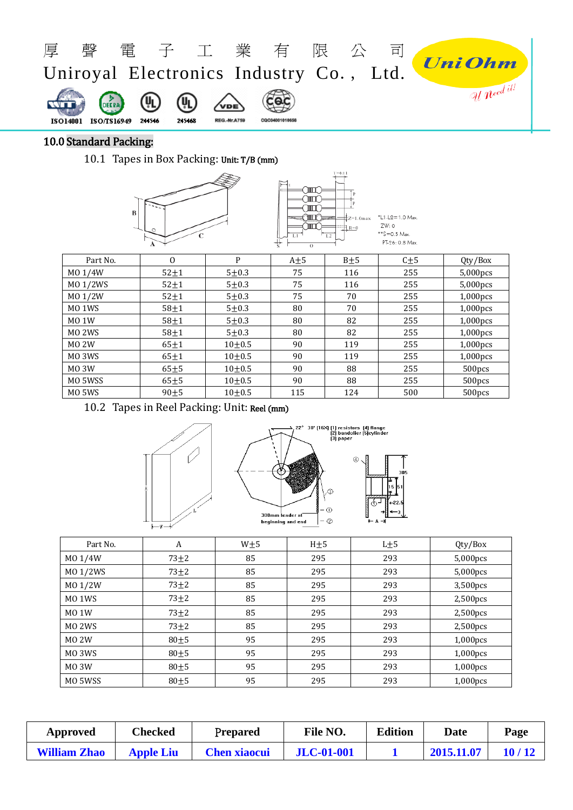

# 10.0 Standard Packing:

10.1 Tapes in Box Packing: Unit: T/B (mm)



| Part No.           | $\Omega$   | P         | $A \pm 5$ | $B + 5$ | $C + 5$ | Qty/Box            |
|--------------------|------------|-----------|-----------|---------|---------|--------------------|
| MO 1/4W            | $52 + 1$   | $5 + 0.3$ | 75        | 116     | 255     | $5,000$ pcs        |
| MO 1/2WS           | $52 \pm 1$ | $5 + 0.3$ | 75        | 116     | 255     | $5,000$ pcs        |
| MO 1/2W            | $52 + 1$   | $5 + 0.3$ | 75        | 70      | 255     | $1,000$ pcs        |
| MO <sub>1</sub> WS | $58 + 1$   | $5 + 0.3$ | 80        | 70      | 255     | $1,000$ pcs        |
| <b>MO 1W</b>       | $58 + 1$   | $5 + 0.3$ | 80        | 82      | 255     | $1,000$ pcs        |
| MO <sub>2</sub> WS | $58 + 1$   | $5 + 0.3$ | 80        | 82      | 255     | $1,000$ pcs        |
| <b>MO 2W</b>       | $65 + 1$   | $10+0.5$  | 90        | 119     | 255     | $1,000$ pcs        |
| MO <sub>3</sub> WS | $65 + 1$   | $10+0.5$  | 90        | 119     | 255     | $1,000$ pcs        |
| MO <sub>3</sub> W  | $65 + 5$   | $10+0.5$  | 90        | 88      | 255     | 500pcs             |
| MO 5WSS            | $65 + 5$   | $10+0.5$  | 90        | 88      | 255     | 500 <sub>pcs</sub> |
| MO <sub>5</sub> WS | $90 + 5$   | $10+0.5$  | 115       | 124     | 500     | 500pcs             |

10.2 Tapes in Reel Packing: Unit: Reel (mm)



| Part No.           | A          | W <sub>±5</sub> | H <sub>±5</sub> | $L+5$ | Qty/Box     |
|--------------------|------------|-----------------|-----------------|-------|-------------|
| MO 1/4W            | $73 + 2$   | 85              | 295             | 293   | 5,000pcs    |
| MO 1/2WS           | $73 \pm 2$ | 85              | 295             | 293   | 5,000pcs    |
| MO 1/2W            | $73 + 2$   | 85              | 295             | 293   | 3,500pcs    |
| MO <sub>1</sub> WS | $73\pm2$   | 85              | 295             | 293   | 2,500pcs    |
| <b>MO 1W</b>       | $73 \pm 2$ | 85              | 295             | 293   | 2,500pcs    |
| MO <sub>2</sub> WS | $73 + 2$   | 85              | 295             | 293   | 2,500pcs    |
| <b>MO 2W</b>       | $80 + 5$   | 95              | 295             | 293   | 1,000pcs    |
| MO 3WS             | $80\pm5$   | 95              | 295             | 293   | 1,000pcs    |
| <b>MO 3W</b>       | $80\pm5$   | 95              | 295             | 293   | 1,000pcs    |
| MO 5WSS            | $80 + 5$   | 95              | 295             | 293   | $1,000$ pcs |

| Approved            | Checked          | Prepared            | File NO.          | <b>Edition</b> | Date       | Page  |
|---------------------|------------------|---------------------|-------------------|----------------|------------|-------|
| <b>William Zhao</b> | <b>Apple Liu</b> | <b>Chen xiaocui</b> | <b>JLC-01-001</b> |                | 2015.11.07 | 10/12 |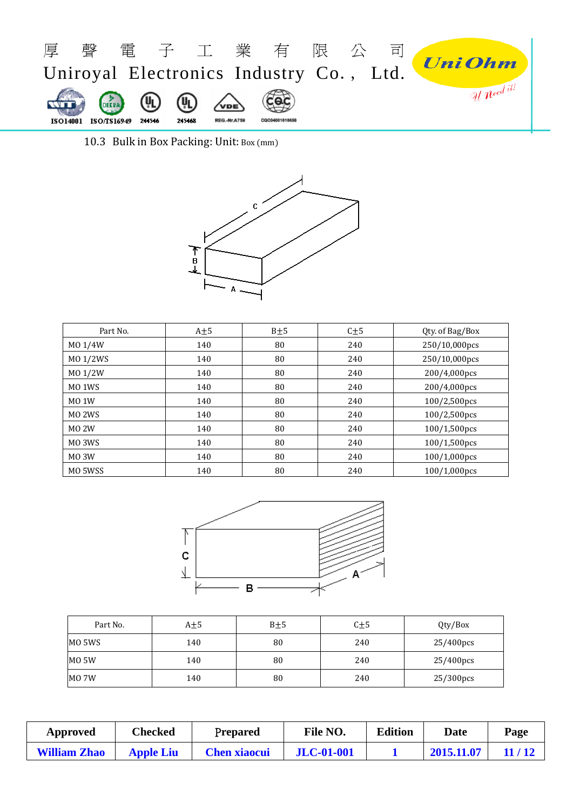

10.3 Bulk in Box Packing: Unit: Box (mm)



| Part No.           | $A + 5$ | $B + 5$ | $C + 5$ | Qty. of Bag/Box |
|--------------------|---------|---------|---------|-----------------|
| MO 1/4W            | 140     | 80      | 240     | 250/10,000pcs   |
| MO 1/2WS           | 140     | 80      | 240     | 250/10,000pcs   |
| M0 1/2W            | 140     | 80      | 240     | 200/4,000pcs    |
| MO <sub>1</sub> WS | 140     | 80      | 240     | 200/4,000pcs    |
| <b>MO 1W</b>       | 140     | 80      | 240     | 100/2,500pcs    |
| MO <sub>2</sub> WS | 140     | 80      | 240     | 100/2,500pcs    |
| <b>MO 2W</b>       | 140     | 80      | 240     | $100/1,500$ pcs |
| MO <sub>3</sub> WS | 140     | 80      | 240     | 100/1,500pcs    |
| <b>MO 3W</b>       | 140     | 80      | 240     | 100/1,000pcs    |
| MO 5WSS            | 140     | 80      | 240     | 100/1,000pcs    |



| Part No. | $A + 5$ | $B \pm 5$ | $C\pm5$ | Qty/Box   |
|----------|---------|-----------|---------|-----------|
| MO 5WS   | 140     | 80        | 240     | 25/400pcs |
| MO 5W    | 140     | 80        | 240     | 25/400pcs |
| MO 7W    | 140     | 80        | 240     | 25/300pcs |

| Approved            | Checked          | Prepared            | File NO.          | <b>Edition</b> | Date       | Page  |
|---------------------|------------------|---------------------|-------------------|----------------|------------|-------|
| <b>William Zhao</b> | <b>Apple Liu</b> | <b>Chen xiaocui</b> | <b>JLC-01-001</b> |                | 2015.11.07 | 11/12 |